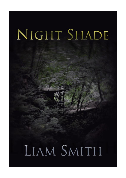# NIGHT SHADE

## LIAM SMITH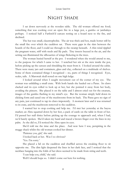### Night Shade

I sat down nervously at the wooden table. The old woman offered me food; something that was cooking over an open fire in a large pot, a gumbo or jambalaya perhaps. I noticed half a Farfetch'd carcass resting on a board next to the fire, and declined.

The hut was small, claustrophobic. The air was thick and hot, made hotter still by the small fire over which the cauldron sat. There were gaps in the slats between the boards of the floor, and I could see through to the swamp beneath. A thin wind rippled the pregnant water, stiff with reeds and lily pads. Tiny insects buzzed in the air, and the setting sun illuminated the silhouettes of wings flickering in the trees.

The woman busied herself at the pot. I wondered when she would attend to me, to the purpose for which I came to her. I watched her stir at the stew inside the pot, before picking up the carcass and shredding the meat from it. I looked around the cabin. There were many jars and containers, glass and clay, collected on a multitude of shelves. Some of them contained things I recognised – no, parts of things I recognised. Eyes, scales, tails. A Marowak skull rested on one high ledge.

I looked around when I caught movement out of the corner of my eye. The woman was unlidding a small crate. With both hands she hauled out a Paras. Its claws clacked and its eyes rolled to look up at her, but she pointed it away from her body, avoiding the pincers. She placed it on the table and I almost cried out for the creature, images of the gumbo flashing in my mind's eye. But the woman simply held down its clicking form and eased one of the mushrooms from its back. The Paras gave no sign of any pain, just continued to tap its claws impotently. A moment later and it was returned to its crate, and the mushroom removed to the cauldron.

I wanted her to stop cooking and help me. I'd met her yesterday at the bayou market; an Abra squatted down by her feet, a pack of cards on the table in front of her. I'd passed her stall thrice before picking up the courage to approach and, when I had, we'd barely spoken. She'd taken my hand and traced a brown finger over the lines in my palm. As she did so, I'd noticed the Abra open its eyes.

She'd told me the time and the place. And now here I was, perspiring in the muggy shack whilst the old woman cooked her dinner.

'Patience you, girl,' she said.

I looked back at her. Was I so obvious?

'Yes. I'm sorry.'

She placed a lid on the cauldron and shuffled across the creaking floor to sit opposite me. The dim light deepened the lines in her dark face, and I noticed that the necklace hanging into the folds of her dress seemed to be made from string and teeth.

'I can help you, child,' she said.

Well I should hope so. I didn't come out here for nothing.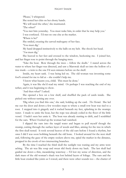'Please,' I whispered.

She rested her chin on her ebony hands.

'We will need the other,' she murmured.

'The other?'

'You met him yesterday. You must wake him, in order that he may help you.'

I was confused. I'd met no one else at the market.

'Where is he?'

She smiled, creasing the carved mahogany of her face.

'You must dig.'

My hand dropped instinctively to the balls on my belt. She shook her head.

'*You* must dig.'

She heaved to her feet and crossed to the window, beckoning me. I joined her, and her finger rose to point through the hanging trees.

'Take the boat. Row through the trees – follow the skulls.' I stared across the water to where her finger was directed, and saw a Marowak skull set into the hollow of a tree trunk – a twin to the one I'd seen minutes before on the shelf.

Inside, my heart sank. I was being led on. The old woman was inventing some fool's errand for me to fail at – she couldn't help me.

'I know what haunts you, child. This must be done.'

Again, it was like she'd read my mind. Or perhaps I was reaching the end of my tether, and it was beginning to show.

'And then what?' I asked.

She opened a box on a low shelf, and shuffled the pack of cards inside. She picked one without turning any over.

'Dig when you find this one,' she said, holding up the card. *The Hermit*. She led me out the door and down a few wooden steps to where a small row boat was tied to a root. I stepped into it gingerly and it rocked beneath my feet, splashing in the swampy water. I made to untie the boat, but the rope was already coiled in the floor of the little vessel. I hadn't seen her untie it. The boat was already starting to drift, and I scrabbled for the oars. When I looked up the woman had vanished.

I slipped the oars into the turgid water and began to pull myself though the swamp, cutting through the surface layer of weeds and lilies, aiming for the tree in which the first skull rested. It took several heaves of the old oars before I found a rhythm, but once I did I was soon bobbing beneath the old bone. I looked around for the next skull and, following the gaze of the empty sockets above me, spied the marker in the distance, propped in the crook of two intersecting branches.

By the time I reached the third skull the sunlight was waning and my arms were aching. The air was like soup and sweat slid freely down my back. The last skull had guided me down a thin, meandering waterway – I'd lost my sense of direction, and the dark mass of the old woman's shack was lost behind layers of foliage. The oars and the little boat creaked like joints as I rowed, and there were other sounds too – the chatter of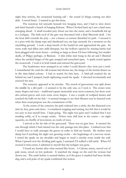night time activity, the occasional hunting call – the sound of things coming out after dark. I rowed faster. I wanted to get this done.

The waterway led onwards beneath low hanging trees, and I had to slow down and duck beneath a bunch of hanging Kakuna. When I looked back up I saw a land mass emerging ahead. A small wooden jetty thrust out into the water, and a boardwalk led up to a lychgate. The little roof of the gate was decorated with a final Marowak skull. I let the boat drift towards the jetty – not a breeze or current disturbed its path. I secured it to a post with the damp rope and clambered out, my legs unsteady for a moment on the unyielding ground. I took a deep breath of the humid air and approached the gate. Its stone walls had fallen into mild disrepair, but the hollows opened by missing bricks had been plugged with more bones – nothing so large as those I'd been following, but smaller skulls, of Pidgey perhaps, or Raticate. A thin white mist hung in the air and I flinched when the unoiled hinges of the gate scraped and screeched open. A spade rested against the stonework. I took it in both hands and entered the graveyard.

The headstones were arranged in no order I could discern: they were just a mob. I remembered the card the old woman had shown me, the image of the hermit drawn on in flat time-faded colours. I had to search for him here. A bird-call cracked the air behind me and I jumped, hands tightening round the spade. I shivered involuntarily and assessed the area.

The cemetery appeared to be circular. The crowd of gravestones was split down the middle by a dirt path  $-$  it seemed to be the only one, so I took it. The stones were many shapes and sizes – traditional square memorials were most common, but there were also arched graves and even some cross shapes. I saw a couple of sculpted domes and touched the balls on my belt – it seemed strange to see their likeness cast in funereal rock when their usual purpose was the containment of life.

At the centre of the cemetery the path widened into a circle, the dirt flattened over time by feet, paws and claws. I considered stopping and turning, but felt that it would be too easy to lose myself here. I kept going. The night was quiet and I realised that I was treading softly, as if to escape notice. Noises were dull here in the centre – no night squawks, no shuffle of movement, no rustle of trees.

I arrived at the far side of the graveyard. There was no gate here. It seemed the one through which I had entered was the only passage into this place. I realised now that I would have to walk amongst the graves in order to find my hermit. My clothes were damp but if anything the night was growing cooler – the beginnings of a nervous sweat. I rested the spade on my shoulder and began to tread a circular route inside the wall. When I passed over the dividing path again, I assumed I'd walked a full circle. When I'd crossed it twice more, I admitted to myself that the lychgate was gone.

I found my hermit after what seemed like hours. A Cubone statue, carved out of pale stone, stood on low pedestal. It matched the image on the card the woman had shown me. The earth before it seemed darker, as if the grave it marked had been freshly dug, and a soft poke of my spade confirmed this notion.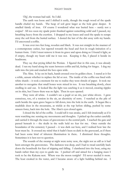'*Dig*', the woman had said. So I did.

The earth was loose and I shifted it easily, though the rough wood of the spade handle chafed my hands. The heap of soil grew larger as the hole grew deeper. It smelled faintly of iron. Of course I wondered what was buried here – surely not a corpse? All too soon my spade point thunked against something solid and I paused, my breathing heavy from the exertion. I dropped to my knees and used the spade to scrape away the soil from the buried surface. I dusted the last of the dirt away with my hands. I'd uncovered a coffin.

It was over two feet long, wooden and black. It was not straight in the manner of a contemporary casket, but tapered towards the head and foot in rough imitation of a human form. I felt I must remove it from its grave and upon doing so I found it light, as if empty, though my heart told me it was not. Keeping it flat, I placed it beside its headstone.

They say that prying killed the Persian. I figured that in this case, it was already dead. I ran my hand along the seam between coffin and lid, feeling for hinges. I dug my nails into the join and cracked the box open wide.

The Abra. It lay on its back, hands crossed over its golden chest. I stared at it for a while, unsure whether to replace the lid or not. The inside of the coffin was lined with white shards – it took a moment for me to realise they were shreds of paper. It took me another to recognise that small bones were mixed in too. It was breathing slowly, chest swelling in and out. It looked like the light was catching it as it moved, creating ripples on its skin, but I knew there was no light. Then its eyes opened.

They were all white. I couldn't see a pupil or an iris, just white slivers. I grew conscious, too, of a tension in the air, an electricity of sorts. I watched as the pile of earth beside the open grave began to fall down, into the hole in the earth. It began like a mudslide does in the mountains, as trickle at the top before sliding, pushed by some unseen force, back into the hole. The Abra's eyes closed again.

I closed the lid of the coffin. I could tell it was awake, and I felt irrationally as if it were watching me: sensing my movements and thoughts. I picked up the casket carefully and carried it through the maze of gravestones to the central path. I reached the gate and passed beneath it – the skulls in the walls held no fear for me. Once outside the boundaries of the cemetery I paused – it was dark out here, and I realised how late the hour must be. It crossed my mind that it hadn't been so dark in the graveyard, as if there had been some kind of inherent illumination in there. I dismissed these thoughts. Sometimes it is best not to question.

The sounds of the swamp at night were noisy now, the night not as still as it had been amongst the gravestones. The darkness was deep, and I had to tread carefully back down the boardwalk for fear of tripping and falling. I clambered into the boat, using my hands rather than my eyes to guide me. I pushed off and aimed for a hanging mass I took to be the Kakuna nest. Where was the moon tonight? I'd never needed it more. The boat creaked in the water, and I became aware of a light building behind me. I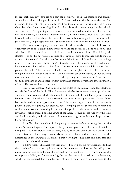looked back over my shoulder and saw the coffin was open; the radiance was coming from within, white with a purple tint to it. As I watched, the Abra began to rise. At first it seemed to be simply sitting up, unfurling from the coffin with its arms crossed over its chest, but when I saw its small golden feet float above the casket lining I realised that it was levitating. The light it generated was not a concentrated incandescence, like the sun or a candle flame, but more an ambient unveiling of the darkness around it. The Abra hovered perhaps a foot above the floor of the boat, a lantern to guide me, its soft violet glow providing ample light to see by. So it was that I returned to the old woman's shack.

The door stood slightly ajar and, since I had no hands free to knock, I nosed it open with my foot. I didn't know where to place the coffin, so I kept hold of it. The Abra had drifted in ahead of me. It had moved with a curious gait – half waddling, half floating – up to the hut whilst I secured the rowboat. Now it crouched beside the old woman. She seemed older than she had when I'd left just a little while ago – how long exactly? How long had I been gone? – though I guess the waxing night could simply have deepened the shadows in her face. I waited inside the door whilst she carried a plate to the table. There was some kind of cake on the plate: it looked like fruit cake, though in the dark it was hard to tell. The old woman sat down heavily on her creaking chair and started to break pieces from the cake, passing them down to the Abra. It took them in both hands and nibbled quickly, munching through several handfuls in under a minute. The woman looked up at me.

'Leave that outside.' She pointed at the coffin in my hands. I nodded, placing it outside the door of the shack. When I re-entered she beckoned me to a seat opposite her. I noticed there were two thick white candles at either end of the table, a pack of cards between them. Face down, I could see only the back of the topmost card. It was faded blue, with a red and white globe at its centre. The woman began to shuffle the cards with practiced ease, not quickly, but steadily, never bumping the cards into one another but rustling them together smoothly like leaves. She proffered them to me and, as soon as my hand touched them, I became aware of the Abra. I could see its face over the table and I felt sure that, as in the graveyard, it was watching me with some deeper vision. Some other sense.

I shuffled the cards clumsily for perhaps a minute before returning them to the woman's brown fingers. She squared the pack and placed it to her left. I watched, intrigued. She dealt slowly, card by card, placing each one down on the wooden table with its face up. She arranged five cards into a cross shape, and it reminded me of the headstones in the graveyard I'd explored that very night. The sixth and final card she placed to the right of the cross.

I didn't speak. The shack was very quiet – I knew I should have been able to hear the sounds of scurrying or squirming from the crates on the floor, or the odd pop or crack from the waning embers of the fire, but there was nothing. Even the sounds of the swamp were dulled, as if upon entering the hut they were absorbed into the heavy air, which seemed charged, like static before a storm. I could smell something beneath the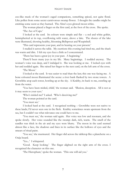#### Night Shade

zoo-like musk of the woman's caged companions, something spiced, not quite floral. Like pollen from some secret carnivorous swamp flower. I thought the candles might be emitting some scent as they burned. The Abra's eyes glowed moon-white.

The woman placed a finger on the first card, at the foot of the cross. She spoke.

'The Ace of Cups.'

I looked at the card. Its colours were simple and flat – a red and white goblet, hemispherical at its top, overflowing with water, above a lake. The shores of the lake were illustrated, showing healthy, blooming Bellsprout and Weepinbell.

'This card represents your past, and its bearing on your present.'

I studied it across the table. My exertions this evening had tired me, and the shack was warm and dim. I felt my eyes fuzz a little as I concentrated.

'There has been a great joy in your past. A beginning.'

There'd been many joys in my life. Many beginnings. I nodded anyway. The woman's voice was deep, and I indulged it. She was looking at me. I locked eyes with her and nodded again. She raised her finger to the next card, on the left arm of the cross.

'The Moon.'

I looked at the card. It was easier to read than the last; this one was facing me. A bone coloured moon illuminated the scene: a river bank flanked by two stone towers. A Growlithe atop each tower, howling up at the sky. A Krabby, its back to me, crawling up from the water.

'You have been misled, child,' the woman said. 'Illusion, deception. All is not as it may seem to your eyes.'

'Who's misled me?' I asked. 'Who's deceiving me?'

The woman pointed at the card.

'You must see.'

I looked hard at the card. I recognised nothing – Growlithe were not native to these lands; I'd never seen one in the flesh. Krabby sometimes swam upstream from the sea, but I couldn't see what relevance one could have to me.

'You must see,' the woman said again. Her voice was low and resonant, and she spoke slowly. Her voice sounded like the swamp: dark, rich, warm. The smell of the candles was thick in the air and my eyes were blurry. The moon in the card seemed almost like a face, the shadows and lines in its surface like the hollows of eyes and the smears of ritual paint.

'You see,' she murmured. Her finger slid across the tabletop like a planchette on a Ouija board.

'Yes...' I whispered.

'Good. Keep looking.' The finger alighted on the right arm of the cross. I recognised the character on this one.

'The Hierophant,' spoke the woman. 'This one will aid you.'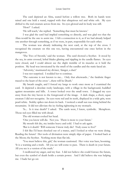The card depicted an Abra, seated before a willow tree. Both its hands were raised and one held a wand, topped with that ubiquitous red and white orb. My eyes drifted to the real creature across from me. Its eyes glowed and its body was still.

'How?' I asked.

'He will teach,' she replied. 'Something that must be known.'

I was glad the card had implied something so directly, and was glad too that the Abra would be the one to assist me. I felt a connection to it, as if we had already helped one another through something, as if we were, in part, responsible for each other.

The woman was already indicating the next card, at the top of the cross. I recognised the creature on this one too, having encountered one once before in the mangroves.

'The Two of Swords,' said the woman. The card showed a Scyther. It stood by the sea, its arms crossed, lethal blades glinting and rippling in the candle flames. Its eyes were closed, and I could almost see the slight tremble of its muscles as it held the position. My head was intoxicated by the smell of the candles and the static-laced air.

'Adversity,' murmured my diviner, 'danger, a duel.'

I was not surprised. I nodded her to continue.

'The outcome is not known to me... Only that afterwards...' the fatalistic finger traced to the heart of the cross '...there will be Death.'

My breath caught, and I forced my lungs to work once more as I examined the card. It depicted a desolate rocky landscape, with a village in the background, huddled against mountains and hills. A tower looked over the small town. I dragged my eyes away from the tiny haven to the foreground of the image. A dark shape, a short, squat creature I did not recognise. Its eyes were red and its teeth, displayed in a wide grin, were pearl-white. Stubby spikes ran down its back. I noticed a small sun was rising behind the mountains. It did not alleviate the icy feeling tightening in my stomach.

'Is... Is it true death?' I asked. The cards were, I knew, symbolic. Metaphors. Those red eyes filled me with dread.

The old woman cocked her head.

'One you know will die. Not you. There is more to your future.'

My mouth felt dry, my insides heavy and cold. I had to ask again.

'But is it death? Will someone I know truly die? Truly cease to live?'

I felt like I'd been shocked out of a trance, and I looked at what we were doing. Reading the future? Her tools of divination were simply slips of paper. I looked back at the Moon; the Scyther. Nothing more than flat ink.

'You must believe this, girl,' the woman cautioned. Her voice was bass, booming. 'It is a warning and a truth. All you see will come to pass. There is death in your future. All you see is a version of the truth.'

I swallowed my anger, and my fear. I did not believe she could foresee the future, but even the symbol of death holds a certain power. And I did believe she was helping me. I bade her go on: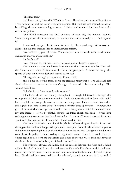#### 'The final card?'

As I looked at it, I found it difficult to focus. The other cards were still and flat – I saw nothing beyond the ink as I had done earlier. But the final card seemed almost to be shifting, showing several things at once. I blinked and squinted but I couldn't make out a clear picture.

'The World represents the final outcome of your life,' the woman intoned. 'Events tonight will affect the rest of your journey across this mortal plane. And beyond it.'

I narrowed my eyes. It did seem like a world, like several maps laid across one another till the lines meshed into an impenetrable pattern.

'You will travel, you will learn. There are places in the world with wonders and challenges and you will meet them.'

'In the future?'

'Yes. Perhaps not for many years. But your journey begins this night.'

The woman watched me, looked into me with the same inner eye that I had felt the Abra use ever since I'd first unearthed it in the graveyard. At once she swept the spread of cards up into the deck and heaved to her feet.

'The night is fleeting,' she muttered. 'Come, child.'

She led me out of the cabin, down the creaking mossy steps. The Abra had left ahead of us and crouched at the water's edge. It seemed to be concentrating. The woman guided me.

'Take his hand. You must do this together.'

I hunkered down next to my Hierophant. Though I'd travelled through the swamp with it I had not actually touched it. Its hands were clasped in front of it, and I had to pull them apart gently in order to take one in my own. They were hard, like scales, and I gasped as I felt a sharp shock like static electricity lance up my arm. I followed the gaze of those sickle-moon eyes out into the viscous boggy water until I felt the current in my arm increase. It wasn't painful, though the initial shock had been – it was hot; scalding in an abstract way that I couldn't define. It was as if I were the vessel for some vast power that was passing through me without touching me.

The water splashed as if an invisible pebble had been dropped into it. I watched the ripples fade before it happened again, and then again. Soon the disturbance began to find a motion, spinning into a small whirlpool out in the swamp. The gnarly hand in my own physically grabbed at me, holding me tight as its owner focused. I watched a dark object began to rise from the maelstrom and hover above the water, then drift towards the shore. It was a wooden box, and it landed at my feet.

The whirlpool slowed and faded, and the current between the Abra and I faded with it. It pulled its hand from mine and my arm felt numb, like a heavy weight had been placed on it for an hour. The old woman bent to retrieve the box, and I handed it up to her. Words had been scorched into the side and, though it was too dark to read, I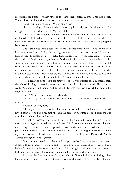recognised the number twenty nine, as if it had been scored in with a red hot poker. Then a flood of pins and needles down my arm made me grimace.

'Your champion,' she said. 'Which one is he?'

She was looking pointedly at the balls on my belt. My good hand automatically dropped to the first orb in the set. My first catch.

'This was meant for him,' she said. She placed her hand out, palm up. I slowly unclipped the ball and set it in her hand. She took the ball in one hand and the box under her arm, and returned to the shack. As I made to follow I felt something tug me back down.

The Abra's eyes were closed once more: I sensed it was tired. I knelt in front of it, sensing some kind of telepathy guiding my actions. It raised its hand and I bent my head towards it, closing my eyes. I felt a hard fingertip trace on my face, a figure-of-eight that encircled both of my eyes before finishing in the centre of my forehead. The fingertip was removed and I opened my eyes again. The Abra was still now – not the still of psychic concentration but the still of rest. I considered for a moment, then picked it up. It was heavy now, heavier than it had been when I'd exhumed it. I carried it to the hut and placed it softly back in its casket. I closed the lid over it, and rose to find the woman behind me. She held out the ball she'd taken a minute before.

'He is ready to fight. You are ready to see?' I was puzzled for a moment, then thought of the fingertip scoping across my face. I nodded. She continued. 'Then you are ready. See beyond the Moon's mask to what truly faces you. Go now, child. Before the night is through.'

'But...' Was I to be dismissed so abruptly?

'Go! Already the stars fade as the light of morning approaches. You must do this tonight!'

I nodded, backing away.

'Thank you,' I called, quietly. The woman nodded, still watching me. I turned myself from her, and trod my path through the mud. By the time I looked back, the hut was hidden behind vines and leaves.

At first my passage back was lit only by the stars, but I saw the dim glow of morning was beginning to relieve the darkness. I had been with the old woman all night and, though I felt tired, I was surprised at how much time had passed since I'd first picked my way through the swamp to her hut. Now I was relying on memory to guide my return, as Zubat flitted home to their nests above my head and Paras and Oddish crawled through the undergrowth.

Once I reached familiar paths it took me perhaps half an hour to reach my house. It stood in its clearing, low, quiet, still. I should have felt relief upon seeing it, but I hadn't felt safe in my house for a week now. The swing chair on the veranda creaked a little in a slight breeze. The windows were dark, like the eye sockets in a skull.

I opened the door, and turned on the light. It flickered, finally producing a thin luminescence. Enough to see by, at least. I went to the kitchen to fetch a glass of water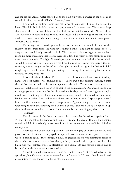and the tap groaned as water spurted along the old pipe work. I winced at the noise as if scared of being overheard. Which, of course, I was.

I returned to the front room and sat in my old armchair. I knew it wouldn't be long. The light bulb hadn't warmed up yet; it was still burning low. There were deep shadows in the room, and I held the first ball on my belt for comfort. All was silent. The nocturnal hunters had returned to their nests and the morning callers had yet to awaken. It was cool in the house though, cooler than outside in the humid swampland. Almost... Cold, in fact.

The swing chair creaked again in the breeze, but no leaves rustled. I could see the shadow of the chair from the window, rocking a little. The light flickered once. I wrapped my hand firmly around the ball. The shadow chair was began to rock a little more, no more than a few inches of movement at first but swiftly getting stronger, as if it were caught in a gale. The light flickered again, and when it went dark the shadow chair would disappear with it. There was a creak from the roof, as if something were slithering across it, putting weight on the rafters. The light stuttered out again, but before it did I caught sight of a silhouette, of a figure sitting in the swing chair, with a top hat stuck on its head, swaying in its seat.

I stood slowly in the dark. I'd removed the ball from my belt and now it filled my hand. Its cool surface was calming to me. There was a fog building outside, a mist shroud that surrounded the house and tightened about it. The windows began to haze and, as I watched, an image began to appear in the condensation. An unseen finger was drawing a picture – a picture that had haunted me for days. A skull wearing a top hat, its mouth curved into a grin. There was a low chuckling sound that seemed to come from behind me but when I twisted around there was nothing to see. I spun again when I heard the floorboards creak, creak as if stepped on. Again, nothing. I ran for the door, wrenching it open and throwing my ball ahead of me. The red flash as it opened lit up the mist dome surrounding the house for a moment before unveiling my champion.

#### 'Venonat!'

The big insect hit the floor with an acrobatic grace that belied its corpulent form. I'd caught Venonat in the marshes and trained it around the bayou. It knew the swamps as well as I did. Immediately its eyes sought for its opponent and its mandibles clicked in anticipation.

I sprinted out of the house, past the violently swinging chair and the creaks and groans of the old timber as it played unexpected host to some unseen power. Now I wheeled around again. Sure enough, a cloud of greenish smoke was forming in front of the porch. At its centre was a dark shape, a face, crowned with a raggedy top hat. Its black skin was painted white in affectation of a skull. Its red mouth opened and it boomed a cackle that turned my core to ice.

Venonat hopped ahead of me. It was not the first time I'd attempted to battle this apparition, but Venonat had never seemed as confident as it did now. I could see its red eyes glinting as they focused on the painted poltergeist.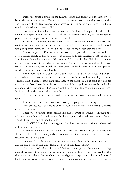Inside the house I could see the furniture rising and falling as if the house were being shaken up and down. The noise was thunderous, wood smacking wood, as the very structure of the place groaned under pressure and the swing chair danced like it was caught in a hurricane. It was terrifying.

'*You must see*,' the old woman had told me. But I wasn't prepared for this – the demon was right in front of me. I could hear its banshee crowing, feel its malignant power. I was as helpless against it now as I'd ever been.

Venonat was hopping toward it and I could see the air shimmer as it tried to confuse its enemy with supersonic waves. It seemed to have some success – the ghoul was glaring at its enemy, and I noticed it flicker just like my houselights had done.

*'Illusion, deception. All is not as it may seem to your eyes...'* the woman had told me. Now I looked closely at the ghost. My eyes prickled and I remembered the Abra's touch. The figure-eight circling my eyes. '*You must see...'* I looked harder. Felt the prickling in my eyes warm down to an ache; a good ache. An ache of muscles well used. I saw beyond the face paint, the ragged hat. The green smoke darkened to a bruised purple. My demon was no more than a Gastly.

For a moment all was still. The Gastly knew its disguise had failed, and its gas aura darkened in vexation and surprise, the way a man's face will grow ruddy in anger. Venonat didn't pause. It must have seen through the ghost's mask as soon as it had set eyes upon it. Now I saw the air between the two of them ripple as Venonat blasted at its opponent with Supersonic. The Gastly shook itself off and its eyes spun in its black face. It hissed and cackled again. Then it vanished.

The furniture in the house was still. The swing chair slowed and stopped. All was quiet.

I stuck close to Venonat. We turned slowly, scoping out the clearing.

'Just because we can't see it doesn't mean it's not here,' I muttered. Venonat clicked in response.

There was a thump from behind me and I whipped around. Through the windows of my house I could see the furniture begin to rise and drop again. *Thump. Thump.* I scanned the clearing. Nothing –

- a *CACKLE* from behind me again. The Gastly was toying with me! There had to be a way to attack it.

I watched Venonat's muscles bunch as it tried to Disable the ghost, taking pot shots into the night. I thought about Venonat's abilities, searched my brain for any technique that could aid us.

'Venonat...' the plan formed in my mind as the crashing in the house grew louder and the cold began to bite at my flesh, 'use Stun Spore. Everywhere!'

The insect nodded a split second before bouncing into the air and spinning around, scattering tiny golden spores from the hairs on its body. I held my breath as the shimmery cloud descended, catching just the slightest sharp scent of herbs and grass. I kept my eyes peeled open for signs. There – the spores stuck to something invisible,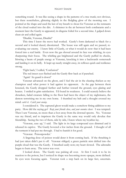#### Night Shade

something round. It was like seeing a shape in the patterns of a tree trunk; not obvious, but there nonetheless, glittering slightly in the fledgling glow of the morning sun. I pointed at the shape and used the last of my breath to shout for Venonat as the remnants of the cloud soaked into the dirt. A shimmer in the air between both combatants and a moment later the Gastly re-appeared, its disguise foiled for a second time. I gulped down clean air and yelled again.

'Disable, Venonat, Disable!'

This time I knew the move had worked. Gastly's form darkened to black for a second and it looked dazed, disoriented. The house was still again and we paused, reevaluating our enemy. I knew little of Gastly, or what it would do now that it had been forced into a real battle. Even now the gas shroud around its face was whirling, its eyes sharpening their focus. The whirling gas brightened and the Gastly puffed its cheeks, blowing a beam of purple energy at Venonat, knocking it into a backwards somersault and landing it on its belly. It leapt up nearly straight away, its reflexes quick and resilience strong.

'Fight back,' I called, 'Confusion!'

The red insect eyes flashed and the Gastly flew back as if punched.

'Again! Its guard is down!'

Venonat advanced on the ghost, and I feel the air in the clearing thicken as my champion used what power it had against its opponent. As the gap between them lessened, the Gastly dropped further and further toward the ground, eyes glaring and beaten. I smiled in grim satisfaction. I'd found its weakness. I could scarcely believe the shrunken, faded creature falling to the floor had been the object of my nightmares, the demon terrorising me in my own home. I thumbed my belt and a thought crossed my mind: *catch it. Catch your enemy.*

I considered it. The captured ghost would make a somehow fitting addition to my party. How did the saying go? *Keep your friends close, and your enemies closer.* I was tempted. Then I saw Venonat, no more than a foot away from the downed spectre. No. Venonat was my friend, and to imprison the Gastly in the same way would only devalue that friendship. Seeing the two of them, side by side, I knew where my loyalties lay.

'Venonat, ease up,' I said. The light in its large compound eyes dimmed and it released its captive. The Gastly hovered a few inches from the ground. I thought of all the torment it had put me through. I had to banish it for good.

'Venonat. Poisonpowder.'

A lingering dose of poison would deter it from coming back. If the thrashing it had just taken didn't put it off. Venonat obliged; a green particle mist drifted into the purple cloud that was the Gastly. I breathed easily now; my heart slowed. The adrenalin began to burn away. The terror was over.

I looked down. The Gastly was pulsing all over. At first I took it to be its reaction to the poison, but I noticed its shape was becoming more opaque, more defined. Its eyes were focusing again. Venonat took a step back on its large feet, uncertain.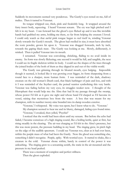Suddenly its movements seemed very ponderous. The Gastly's eyes rested on me, full of malice. Then it turned to Venonat.

Its tongue whipped out, thick, pink and freakishly long. It wrapped around the furry insect body, squeezing. I heard Venonat scream. The cry was high pitched and I felt it in my heart. I ran forward but the ghost's eyes flicked up and it was like invisible hands had grabbed my arms, holding me there, so far from helping the creature I loved. I could only watch as that awful pink tongue began to reel itself in, winding Venonat slowly towards the Gastly's mouth. The ghost had swelled in size; it must have absorbed the toxic powder, grown fat upon it. Venonat was dragged forwards, inch by inch, towards the gaping black maw. The Gastly was looking at me. Slowly, deliberately, it winked. Then it pulled Venonat into its mouth.

I screamed. Venonat was convulsing, shrieking, flailing to no avail inside its enemy. Its form was slowly flickering; one second it would be full, and tangible, the next I could see its fragile skeleton within its body. I could see the shapes of the trees through the joined bodies of the both of them as they dipped in and out of the visible world.

The Gastly was grinning through its bloated mouth, eyes bulging. Impossible though it seemed, it looked like it was growing even bigger, its form sharpening from a round face to a sharper, more human form. I was reminded of the dark, shadowy creature on the old woman's Death card, that black harbinger of pain and loss, and with it I was reminded of the Scyther card, the poised warrior symbolising this very battle. Venonat was fading before my very eyes, its struggles weaker now. I thought of the Hierophant that would help me: the Abra that had lit my passage through the swamp, whose power I'd felt as it gave me sight and whose hand I'd clasped as I'd become its vessel, raising that mysterious box from the water. A box that was meant for my champion, with its number twenty-nine branded into its damp wooden exterior.

'Venonat,' I whispered. My voice was spent, but I knew what to do. 'Venonat.' My champion seemed to hear me and its blurry, damaged, fading eyes found mine.

'Venonat,' I croaked, then yelled, 'Psychic!'

I noticed that the world had been silent until my scream. But before the echo had faded, I became conscious of a high ringing sound, like a boiling kettle, quiet at first, but rising steadily in the clearing. The air was charging as I'd felt in the Abra's presence, but this was more potent, the pressure building in my head. The ringing grew, its pitch high on the edge of the audible spectrum. I could see Venonat too, clear as it had ever been, within the purple mass of what had been the Gastly. Now the ghoul was something else, something I didn't recognise. Purple, spiky. With worried eyes. It started to shake, like a creature in the cold. Venonat shone within, barely in control of the power it was unleashing. The ringing grew to a screaming zenith, the static in the air mounted and the pressure in my head peaked.

There was a moment of complete and perfect stillness.

Then the ghost exploded.